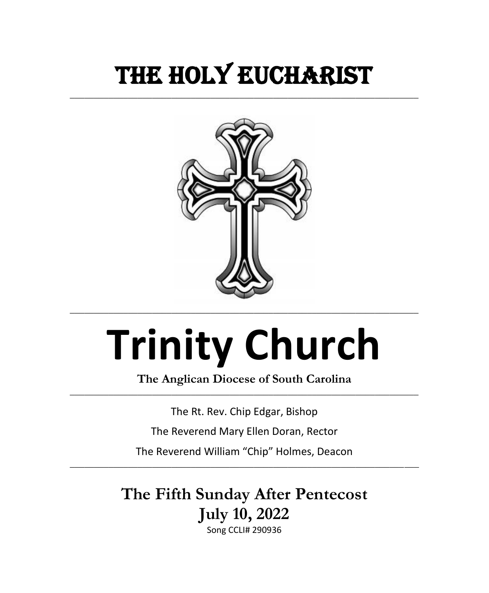## THE HOLY EUCHARIST

**\_\_\_\_\_\_\_\_\_\_\_\_\_\_\_\_\_\_\_\_\_\_\_\_\_\_\_\_\_\_\_\_\_\_\_\_\_\_\_\_\_\_\_\_\_\_\_\_\_\_\_\_\_\_\_\_\_\_\_\_\_\_\_\_\_\_\_\_\_\_\_\_**



# **Trinity Church**

**The Anglican Diocese of South Carolina \_\_\_\_\_\_\_\_\_\_\_\_\_\_\_\_\_\_\_\_\_\_\_\_\_\_\_\_\_\_\_\_\_\_\_\_\_\_\_\_\_\_\_\_\_\_\_\_\_\_\_\_\_\_\_\_\_\_\_\_\_\_\_\_\_\_\_\_\_\_\_\_**

The Rt. Rev. Chip Edgar, Bishop

The Reverend Mary Ellen Doran, Rector

The Reverend William "Chip" Holmes, Deacon **\_\_\_\_\_\_\_\_\_\_\_\_\_\_\_\_\_\_\_\_\_\_\_\_\_\_\_\_\_\_\_\_\_\_\_\_\_\_\_\_\_\_\_\_\_\_\_\_\_\_\_\_\_\_\_\_\_\_\_\_\_\_\_\_\_\_\_\_\_\_\_\_**

> **The Fifth Sunday After Pentecost July 10, 2022** Song CCLI# 290936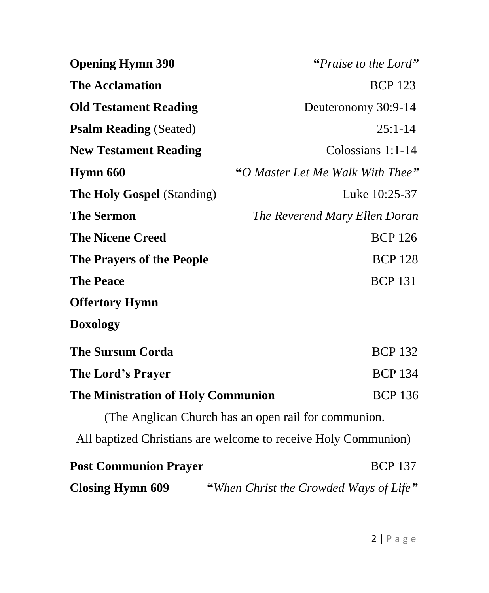| <b>Opening Hymn 390</b>                   | "Praise to the Lord"                                           |
|-------------------------------------------|----------------------------------------------------------------|
| <b>The Acclamation</b>                    | <b>BCP 123</b>                                                 |
| <b>Old Testament Reading</b>              | Deuteronomy 30:9-14                                            |
| <b>Psalm Reading (Seated)</b>             | $25:1-14$                                                      |
| <b>New Testament Reading</b>              | Colossians $1:1-14$                                            |
| Hymn 660                                  | "O Master Let Me Walk With Thee"                               |
| <b>The Holy Gospel (Standing)</b>         | Luke 10:25-37                                                  |
| <b>The Sermon</b>                         | The Reverend Mary Ellen Doran                                  |
| <b>The Nicene Creed</b>                   | <b>BCP 126</b>                                                 |
| <b>The Prayers of the People</b>          | <b>BCP 128</b>                                                 |
| <b>The Peace</b>                          | <b>BCP 131</b>                                                 |
| <b>Offertory Hymn</b>                     |                                                                |
| <b>Doxology</b>                           |                                                                |
| <b>The Sursum Corda</b>                   | <b>BCP 132</b>                                                 |
| The Lord's Prayer                         | <b>BCP 134</b>                                                 |
| <b>The Ministration of Holy Communion</b> | <b>BCP 136</b>                                                 |
|                                           | (The Anglican Church has an open rail for communion.           |
|                                           | All baptized Christians are welcome to receive Holy Communion) |
| <b>Post Communion Prayer</b>              | <b>BCP 137</b>                                                 |
| <b>Closing Hymn 609</b>                   | "When Christ the Crowded Ways of Life"                         |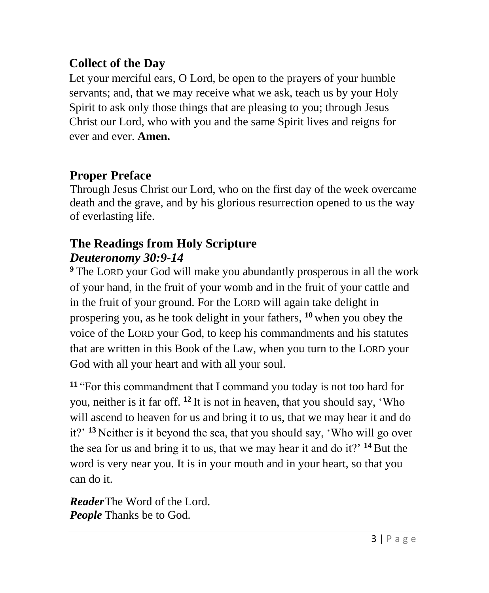#### **Collect of the Day**

Let your merciful ears, O Lord, be open to the prayers of your humble servants; and, that we may receive what we ask, teach us by your Holy Spirit to ask only those things that are pleasing to you; through Jesus Christ our Lord, who with you and the same Spirit lives and reigns for ever and ever. **Amen.**

#### **Proper Preface**

Through Jesus Christ our Lord, who on the first day of the week overcame death and the grave, and by his glorious resurrection opened to us the way of everlasting life.

#### **The Readings from Holy Scripture** *Deuteronomy 30:9-14*

**<sup>9</sup>** The LORD your God will make you abundantly prosperous in all the work of your hand, in the fruit of your womb and in the fruit of your cattle and in the fruit of your ground. For the LORD will again take delight in prospering you, as he took delight in your fathers, **<sup>10</sup>** when you obey the voice of the LORD your God, to keep his commandments and his statutes that are written in this Book of the Law, when you turn to the LORD your God with all your heart and with all your soul.

**<sup>11</sup>** "For this commandment that I command you today is not too hard for you, neither is it far off. **<sup>12</sup>** It is not in heaven, that you should say, 'Who will ascend to heaven for us and bring it to us, that we may hear it and do it?' **<sup>13</sup>** Neither is it beyond the sea, that you should say, 'Who will go over the sea for us and bring it to us, that we may hear it and do it?' **<sup>14</sup>** But the word is very near you. It is in your mouth and in your heart, so that you can do it.

*Reader*The Word of the Lord. *People* Thanks be to God.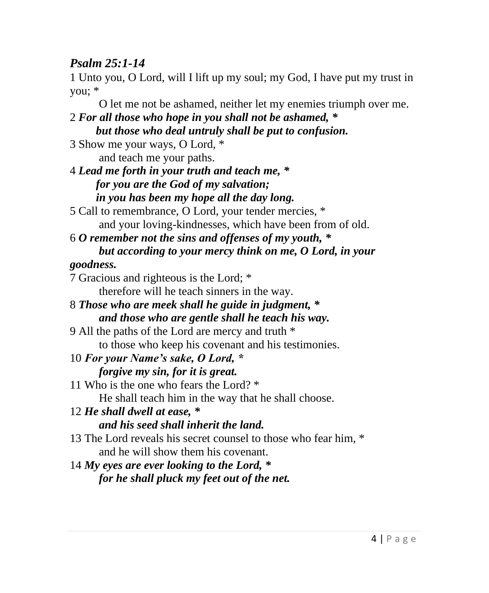#### *Psalm 25:1-14*

1 Unto you, O Lord, will I lift up my soul; my God, I have put my trust in you; \*

 O let me not be ashamed, neither let my enemies triumph over me. 2 *For all those who hope in you shall not be ashamed, \* but those who deal untruly shall be put to confusion.* 3 Show me your ways, O Lord, \* and teach me your paths. 4 *Lead me forth in your truth and teach me, \* for you are the God of my salvation; in you has been my hope all the day long.* 5 Call to remembrance, O Lord, your tender mercies, \* and your loving-kindnesses, which have been from of old. 6 *O remember not the sins and offenses of my youth, \* but according to your mercy think on me, O Lord, in your goodness.* 7 Gracious and righteous is the Lord; \* therefore will he teach sinners in the way. 8 *Those who are meek shall he guide in judgment, \* and those who are gentle shall he teach his way.* 9 All the paths of the Lord are mercy and truth \* to those who keep his covenant and his testimonies. 10 *For your Name's sake, O Lord, \* forgive my sin, for it is great.* 11 Who is the one who fears the Lord? \* He shall teach him in the way that he shall choose. 12 *He shall dwell at ease, \* and his seed shall inherit the land.* 13 The Lord reveals his secret counsel to those who fear him, \* and he will show them his covenant. 14 *My eyes are ever looking to the Lord, \* for he shall pluck my feet out of the net.*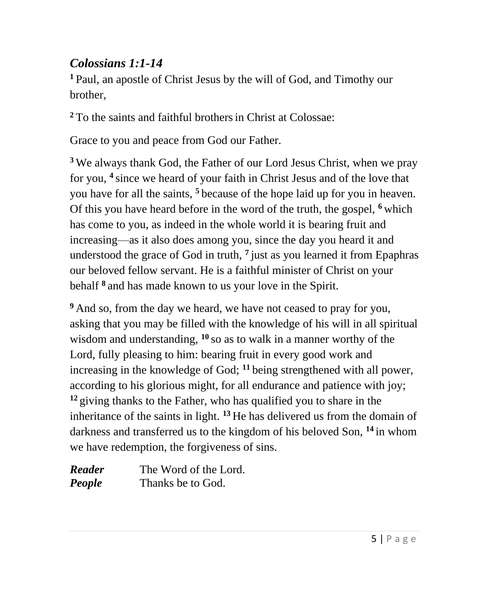#### *Colossians 1:1-14*

**<sup>1</sup>**Paul, an apostle of Christ Jesus by the will of God, and Timothy our brother,

**<sup>2</sup>** To the saints and faithful brothersin Christ at Colossae:

Grace to you and peace from God our Father.

**<sup>3</sup>** We always thank God, the Father of our Lord Jesus Christ, when we pray for you, **<sup>4</sup>** since we heard of your faith in Christ Jesus and of the love that you have for all the saints, **<sup>5</sup>** because of the hope laid up for you in heaven. Of this you have heard before in the word of the truth, the gospel, **<sup>6</sup>** which has come to you, as indeed in the whole world it is bearing fruit and increasing—as it also does among you, since the day you heard it and understood the grace of God in truth, **<sup>7</sup>** just as you learned it from Epaphras our beloved fellow servant. He is a faithful minister of Christ on your behalf **<sup>8</sup>** and has made known to us your love in the Spirit.

**<sup>9</sup>** And so, from the day we heard, we have not ceased to pray for you, asking that you may be filled with the knowledge of his will in all spiritual wisdom and understanding, **<sup>10</sup>** so as to walk in a manner worthy of the Lord, fully pleasing to him: bearing fruit in every good work and increasing in the knowledge of God; **<sup>11</sup>** being strengthened with all power, according to his glorious might, for all endurance and patience with joy; **<sup>12</sup>** giving thanks to the Father, who has qualified you to share in the inheritance of the saints in light. **<sup>13</sup>** He has delivered us from the domain of darkness and transferred us to the kingdom of his beloved Son, **<sup>14</sup>** in whom we have redemption, the forgiveness of sins.

| <b>Reader</b> | The Word of the Lord. |
|---------------|-----------------------|
| People        | Thanks be to God.     |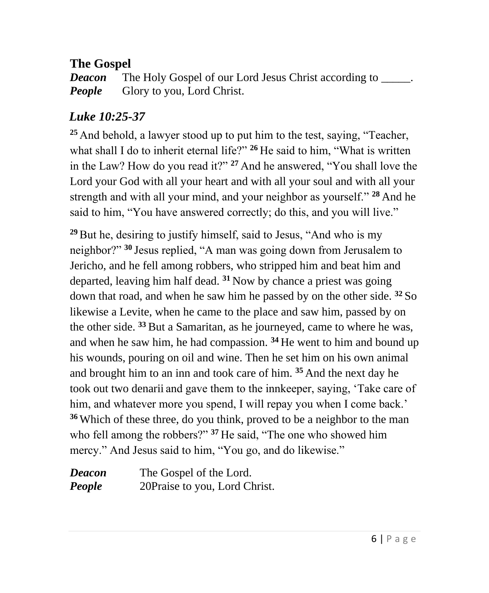#### **The Gospel**

*Deacon* The Holy Gospel of our Lord Jesus Christ according to \_\_\_\_\_. *People* Glory to you, Lord Christ.

#### *Luke 10:25-37*

**<sup>25</sup>** And behold, a lawyer stood up to put him to the test, saying, "Teacher, what shall I do to inherit eternal life?" <sup>26</sup> He said to him, "What is written in the Law? How do you read it?" **<sup>27</sup>** And he answered, "You shall love the Lord your God with all your heart and with all your soul and with all your strength and with all your mind, and your neighbor as yourself." **<sup>28</sup>** And he said to him, "You have answered correctly; do this, and you will live."

**<sup>29</sup>**But he, desiring to justify himself, said to Jesus, "And who is my neighbor?" **<sup>30</sup>** Jesus replied, "A man was going down from Jerusalem to Jericho, and he fell among robbers, who stripped him and beat him and departed, leaving him half dead. **<sup>31</sup>** Now by chance a priest was going down that road, and when he saw him he passed by on the other side. **<sup>32</sup>** So likewise a Levite, when he came to the place and saw him, passed by on the other side. **<sup>33</sup>** But a Samaritan, as he journeyed, came to where he was, and when he saw him, he had compassion. **<sup>34</sup>** He went to him and bound up his wounds, pouring on oil and wine. Then he set him on his own animal and brought him to an inn and took care of him. **<sup>35</sup>** And the next day he took out two denarii and gave them to the innkeeper, saying, 'Take care of him, and whatever more you spend, I will repay you when I come back.' **<sup>36</sup>** Which of these three, do you think, proved to be a neighbor to the man who fell among the robbers?" **<sup>37</sup>** He said, "The one who showed him mercy." And Jesus said to him, "You go, and do likewise."

| Deacon | The Gospel of the Lord.       |
|--------|-------------------------------|
| People | 20Praise to you, Lord Christ. |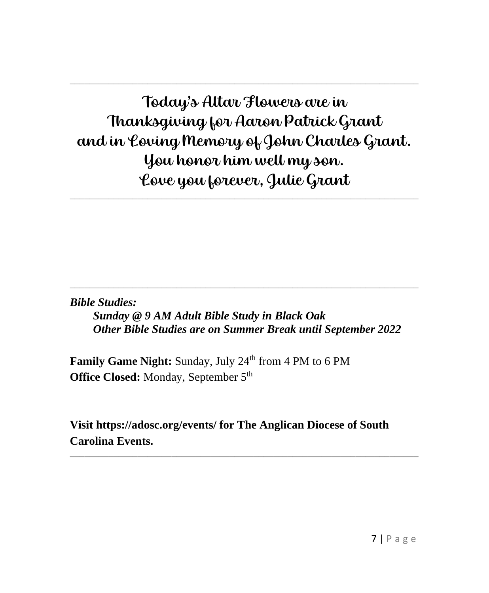### Today's Altar Flowers are in Thanksgiving for Aaron Patrick Grant and in Loving Memory of John Charles Grant. You honor him well my son. Love you forever, Julie Grant

**\_\_\_\_\_\_\_\_\_\_\_\_\_\_\_\_\_\_\_\_\_\_\_\_\_\_\_\_\_\_\_\_\_\_\_\_\_\_\_\_\_\_\_\_\_\_\_\_\_\_\_\_\_\_\_\_\_\_\_\_\_\_\_\_\_\_\_\_\_\_\_\_**

**\_\_\_\_\_\_\_\_\_\_\_\_\_\_\_\_\_\_\_\_\_\_\_\_\_\_\_\_\_\_\_\_\_\_\_\_\_\_\_\_\_\_\_\_\_\_\_\_\_\_\_\_\_\_\_\_\_\_\_\_\_\_\_\_\_\_\_\_\_\_\_\_**

*Bible Studies:*

 *Sunday @ 9 AM Adult Bible Study in Black Oak Other Bible Studies are on Summer Break until September 2022*

**\_\_\_\_\_\_\_\_\_\_\_\_\_\_\_\_\_\_\_\_\_\_\_\_\_\_\_\_\_\_\_\_\_\_\_\_\_\_\_\_\_\_\_\_\_\_\_\_\_\_\_\_\_\_\_\_\_\_\_\_\_\_\_\_\_\_\_\_\_\_\_\_**

**Family Game Night:** Sunday, July 24<sup>th</sup> from 4 PM to 6 PM **Office Closed:** Monday, September 5<sup>th</sup>

**Visit https://adosc.org/events/ for The Anglican Diocese of South Carolina Events.**

**\_\_\_\_\_\_\_\_\_\_\_\_\_\_\_\_\_\_\_\_\_\_\_\_\_\_\_\_\_\_\_\_\_\_\_\_\_\_\_\_\_\_\_\_\_\_\_\_\_\_\_\_\_\_\_\_\_\_\_\_\_\_\_\_\_\_\_\_\_\_\_\_**